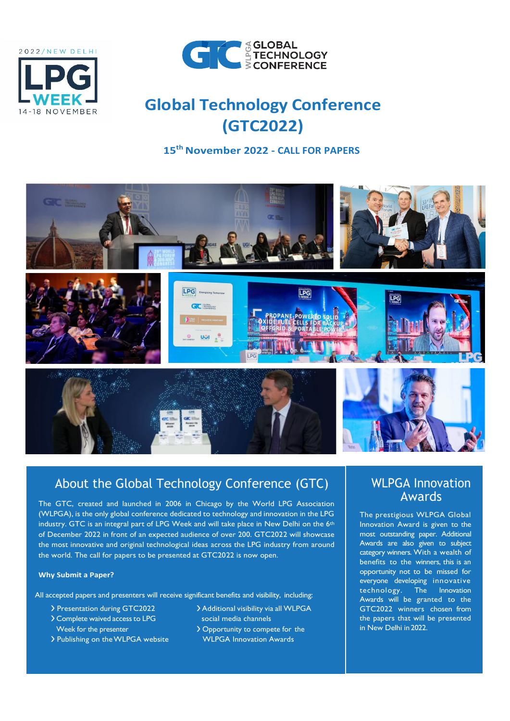



# **Global Technology Conference (GTC2022)**

**15th November 2022 - CALL FOR PAPERS**



# About the Global Technology Conference (GTC)

The GTC, created and launched in 2006 in Chicago by the World LPG Association (WLPGA), is the only global conference dedicated to technology and innovation in the LPG industry. GTC is an integral part of LPG Week and will take place in New Delhi on the 6<sup>th</sup> of December 2022 in front of an expected audience of over 200. GTC2022 will showcase the most innovative and original technological ideas across the LPG industry from around the world. The call for papers to be presented at GTC2022 is now open.

#### **Why Submit a Paper?**

All accepted papers and presenters will receive significant benefits and visibility, including:

- 
- > Complete waived access to LPG social media channels
- > Publishing on the WLPGA website WLPGA Innovation Awards
- > Presentation during GTC2022 > > Additional visibility via all WLPGA
	- Week for the presenter  $\longrightarrow$  Opportunity to compete for the

### WLPGA Innovation Awards

The prestigious WLPGA Global Innovation Award is given to the most outstanding paper. Additional Awards are also given to subject category winners. With a wealth of benefits to the winners, this is an opportunity not to be missed for everyone developing innovative<br>technology. The Innovation technology. The Awards will be granted to the GTC2022 winners chosen from the papers that will be presented in New Delhi in 2022.